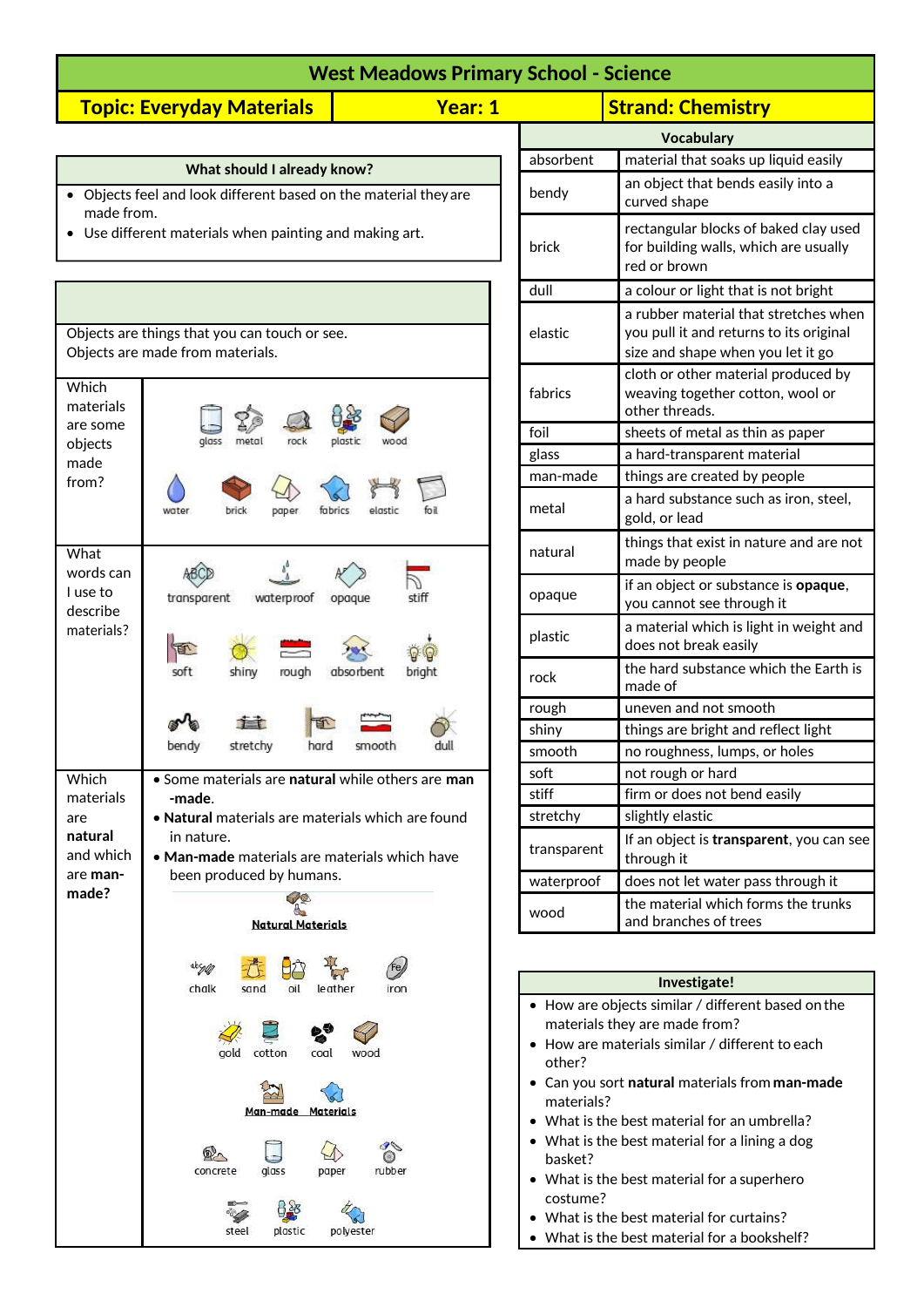| <b>West Meadows Primary School - Science</b> |         |                          |  |
|----------------------------------------------|---------|--------------------------|--|
| <b>Topic: Everyday Materials</b>             | Year: 1 | <b>Strand: Chemistry</b> |  |
|                                              |         | Vocabulary               |  |

| What should I already know?                                      |
|------------------------------------------------------------------|
| • Objects feel and look different based on the material they are |
| made from.                                                       |

Use different materials when painting and making art.

|                                                                        | Objects are things that you can touch or see.<br>Objects are made from materials.                                                                                                                                                       |
|------------------------------------------------------------------------|-----------------------------------------------------------------------------------------------------------------------------------------------------------------------------------------------------------------------------------------|
| Which<br>materials<br>are some<br>objects<br>made<br>from?             | plastic<br>glass<br>rock<br>brick<br>fabrics<br>elastic<br>water<br>paper.<br>foil                                                                                                                                                      |
| What<br>words can<br>I use to<br>describe<br>materials?                | transparent<br>waterproof<br>opaque<br>stift<br>soft<br>rough<br>absorbent<br>bright<br>shiny                                                                                                                                           |
|                                                                        | E<br>bendy<br>stretchy<br>hard<br>smooth                                                                                                                                                                                                |
|                                                                        |                                                                                                                                                                                                                                         |
| Which<br>materials<br>are<br>natural<br>and which<br>are man-<br>made? | • Some materials are natural while others are man<br>-made.<br>• Natural materials are materials which are found<br>in nature.<br>• Man-made materials are materials which have<br>been produced by humans.<br><b>Natural Materials</b> |
|                                                                        | chalk sand oil leather iron                                                                                                                                                                                                             |
|                                                                        | 2235<br>gold cotton coal wood<br>$\sum_{k=1}^{n}$<br>Man-made Materials<br>$\gamma$<br>concrete glass paper rubber                                                                                                                      |

| <b>Strand: Chemistry</b> |                                                                                                                       |  |
|--------------------------|-----------------------------------------------------------------------------------------------------------------------|--|
| <b>Vocabulary</b>        |                                                                                                                       |  |
| absorbent                | material that soaks up liquid easily                                                                                  |  |
| bendy                    | an object that bends easily into a<br>curved shape                                                                    |  |
| brick                    | rectangular blocks of baked clay used<br>for building walls, which are usually<br>red or brown                        |  |
| dull                     | a colour or light that is not bright                                                                                  |  |
| elastic                  | a rubber material that stretches when<br>you pull it and returns to its original<br>size and shape when you let it go |  |
| fabrics                  | cloth or other material produced by<br>weaving together cotton, wool or<br>other threads.                             |  |
| foil                     | sheets of metal as thin as paper                                                                                      |  |
| glass                    | a hard-transparent material                                                                                           |  |
| man-made                 | things are created by people                                                                                          |  |
| metal                    | a hard substance such as iron, steel,<br>gold, or lead                                                                |  |
| natural                  | things that exist in nature and are not<br>made by people                                                             |  |
| opaque                   | if an object or substance is opaque,<br>you cannot see through it                                                     |  |
| plastic                  | a material which is light in weight and<br>does not break easily                                                      |  |
| rock                     | the hard substance which the Earth is<br>made of                                                                      |  |
| rough                    | uneven and not smooth                                                                                                 |  |
| shiny                    | things are bright and reflect light                                                                                   |  |
| smooth                   | no roughness, lumps, or holes                                                                                         |  |
| soft                     | not rough or hard                                                                                                     |  |
| stiff                    | firm or does not bend easily                                                                                          |  |
| stretchy                 | slightly elastic                                                                                                      |  |
| transparent              | If an object is transparent, you can see<br>through it                                                                |  |
| waterproof               | does not let water pass through it                                                                                    |  |
| wood                     | the material which forms the trunks<br>and branches of trees                                                          |  |

| Investigate!                                               |
|------------------------------------------------------------|
| $\bullet$ How are objects similar / different based on the |
| materials they are made from?                              |
| $\bullet~$ How are materials similar / different to each   |
| other?                                                     |
| Can you sort natural materials from man-made               |
| materials?                                                 |
| $\bullet~$ What is the best material for an umbrella?      |
| $\bullet\;$ What is the best material for a lining a dog   |
| hasket?                                                    |
| $\bullet~$ What is the best material for a superhero       |
| costume?                                                   |
| $\bullet\,$ What is the best material for curtains?        |

 $\overline{\phantom{a}}$ 

• What is the best material for a bookshelf?